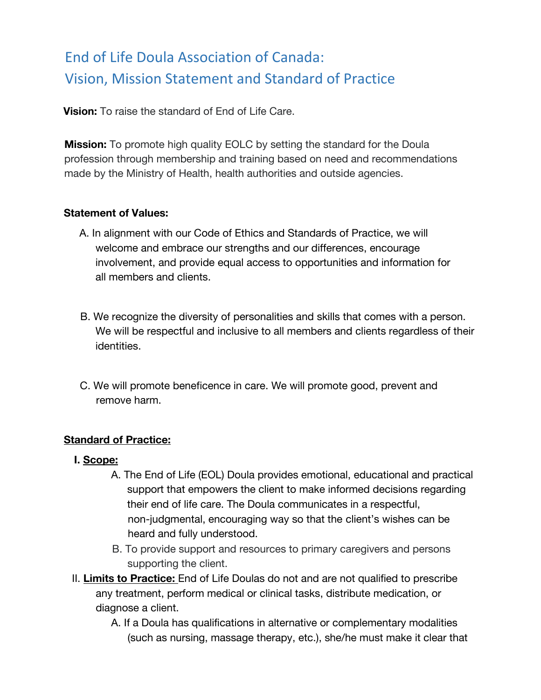**Vision:** To raise the standard of End of Life Care.

**Mission:** To promote high quality EOLC by setting the standard for the Doula profession through membership and training based on need and recommendations made by the Ministry of Health, health authorities and outside agencies.

#### **Statement of Values:**

- A. In alignment with our Code of Ethics and Standards of Practice, we will welcome and embrace our strengths and our differences, encourage involvement, and provide equal access to opportunities and information for all members and clients.
- B. We recognize the diversity of personalities and skills that comes with a person. We will be respectful and inclusive to all members and clients regardless of their identities.
- C. We will promote beneficence in care. We will promote good, prevent and remove harm.

### **Standard of Practice:**

#### **I. Scope:**

- A. The End of Life (EOL) Doula provides emotional, educational and practical support that empowers the client to make informed decisions regarding their end of life care. The Doula communicates in a respectful, non-judgmental, encouraging way so that the client's wishes can be heard and fully understood.
- B. To provide support and resources to primary caregivers and persons supporting the client.
- II. **Limits to Practice:** End of Life Doulas do not and are not qualified to prescribe any treatment, perform medical or clinical tasks, distribute medication, or diagnose a client.
	- A. If a Doula has qualifications in alternative or complementary modalities (such as nursing, massage therapy, etc.), she/he must make it clear that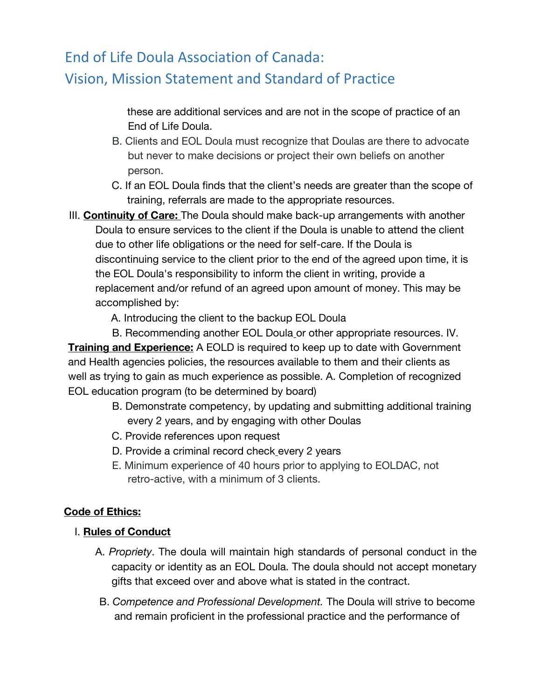these are additional services and are not in the scope of practice of an End of Life Doula.

- B. Clients and EOL Doula must recognize that Doulas are there to advocate but never to make decisions or project their own beliefs on another person.
- C. If an EOL Doula finds that the client's needs are greater than the scope of training, referrals are made to the appropriate resources.
- III. **Continuity of Care:** The Doula should make back-up arrangements with another Doula to ensure services to the client if the Doula is unable to attend the client due to other life obligations or the need for self-care. If the Doula is discontinuing service to the client prior to the end of the agreed upon time, it is the EOL Doula's responsibility to inform the client in writing, provide a replacement and/or refund of an agreed upon amount of money. This may be accomplished by:
	- A. Introducing the client to the backup EOL Doula

B. Recommending another EOL Doula or other appropriate resources. IV. **Training and Experience:** A EOLD is required to keep up to date with Government and Health agencies policies, the resources available to them and their clients as well as trying to gain as much experience as possible. A. Completion of recognized EOL education program (to be determined by board)

- B. Demonstrate competency, by updating and submitting additional training every 2 years, and by engaging with other Doulas
- C. Provide references upon request
- D. Provide a criminal record check every 2 years
- E. Minimum experience of 40 hours prior to applying to EOLDAC, not retro-active, with a minimum of 3 clients.

### **Code of Ethics:**

### I. **Rules of Conduct**

- A. *Propriety*. The doula will maintain high standards of personal conduct in the capacity or identity as an EOL Doula. The doula should not accept monetary gifts that exceed over and above what is stated in the contract.
- B. *Competence and Professional Development.* The Doula will strive to become and remain proficient in the professional practice and the performance of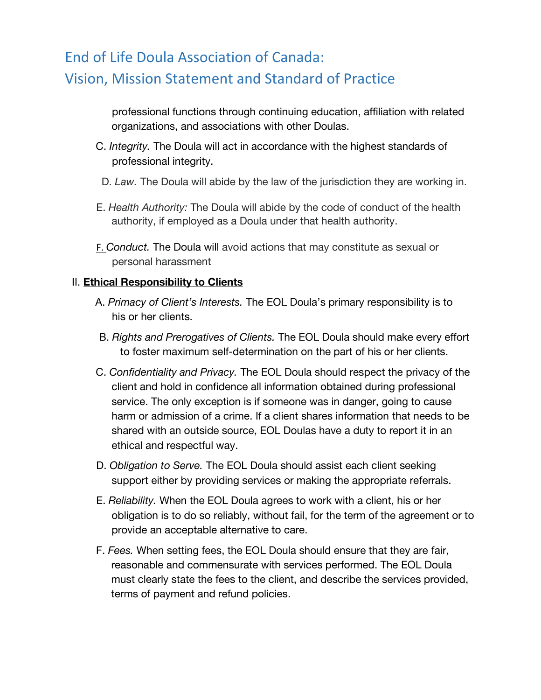professional functions through continuing education, affiliation with related organizations, and associations with other Doulas.

- C. *Integrity.* The Doula will act in accordance with the highest standards of professional integrity.
- D. *Law.* The Doula will abide by the law of the jurisdiction they are working in.
- E. *Health Authority:* The Doula will abide by the code of conduct of the health authority, if employed as a Doula under that health authority.
- F. *Conduct.* The Doula will avoid actions that may constitute as sexual or personal harassment

### II. **Ethical Responsibility to Clients**

- A. *Primacy of Client's Interests.* The EOL Doula's primary responsibility is to his or her clients.
- B. *Rights and Prerogatives of Clients.* The EOL Doula should make every effort to foster maximum self-determination on the part of his or her clients.
- C. *Confidentiality and Privacy.* The EOL Doula should respect the privacy of the client and hold in confidence all information obtained during professional service. The only exception is if someone was in danger, going to cause harm or admission of a crime. If a client shares information that needs to be shared with an outside source, EOL Doulas have a duty to report it in an ethical and respectful way.
- D. *Obligation to Serve.* The EOL Doula should assist each client seeking support either by providing services or making the appropriate referrals.
- E. *Reliability.* When the EOL Doula agrees to work with a client, his or her obligation is to do so reliably, without fail, for the term of the agreement or to provide an acceptable alternative to care.
- F. *Fees.* When setting fees, the EOL Doula should ensure that they are fair, reasonable and commensurate with services performed. The EOL Doula must clearly state the fees to the client, and describe the services provided, terms of payment and refund policies.